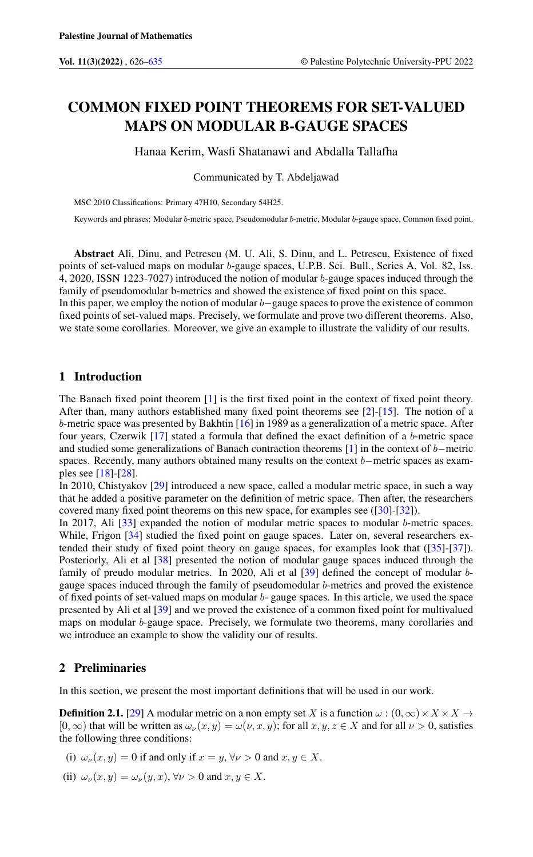# COMMON FIXED POINT THEOREMS FOR SET-VALUED MAPS ON MODULAR B-GAUGE SPACES

Hanaa Kerim, Wasfi Shatanawi and Abdalla Tallafha

Communicated by T. Abdeljawad

MSC 2010 Classifications: Primary 47H10, Secondary 54H25.

Keywords and phrases: Modular b-metric space, Pseudomodular b-metric, Modular b-gauge space, Common fixed point.

Abstract Ali, Dinu, and Petrescu (M. U. Ali, S. Dinu, and L. Petrescu, Existence of fixed points of set-valued maps on modular b-gauge spaces, U.P.B. Sci. Bull., Series A, Vol. 82, Iss. 4, 2020, ISSN 1223-7027) introduced the notion of modular b-gauge spaces induced through the family of pseudomodular b-metrics and showed the existence of fixed point on this space. In this paper, we employ the notion of modular b−gauge spaces to prove the existence of common fixed points of set-valued maps. Precisely, we formulate and prove two different theorems. Also, we state some corollaries. Moreover, we give an example to illustrate the validity of our results.

# 1 Introduction

The Banach fixed point theorem [\[1\]](#page-7-1) is the first fixed point in the context of fixed point theory. After than, many authors established many fixed point theorems see [\[2\]](#page-7-2)-[\[15\]](#page-8-0). The notion of a b-metric space was presented by Bakhtin [\[16\]](#page-8-1) in 1989 as a generalization of a metric space. After four years, Czerwik [\[17\]](#page-8-2) stated a formula that defined the exact definition of a b-metric space and studied some generalizations of Banach contraction theorems [\[1\]](#page-7-1) in the context of b−metric spaces. Recently, many authors obtained many results on the context b–metric spaces as examples see [\[18\]](#page-8-3)-[\[28\]](#page-8-4).

In 2010, Chistyakov [\[29\]](#page-8-5) introduced a new space, called a modular metric space, in such a way that he added a positive parameter on the definition of metric space. Then after, the researchers covered many fixed point theorems on this new space, for examples see ([\[30\]](#page-8-6)-[\[32\]](#page-8-7)).

In 2017, Ali [\[33\]](#page-8-8) expanded the notion of modular metric spaces to modular b-metric spaces. While, Frigon [\[34\]](#page-8-9) studied the fixed point on gauge spaces. Later on, several researchers extended their study of fixed point theory on gauge spaces, for examples look that ([\[35\]](#page-8-10)-[\[37\]](#page-8-11)). Posteriorly, Ali et al [\[38\]](#page-8-12) presented the notion of modular gauge spaces induced through the family of preudo modular metrics. In 2020, Ali et al [\[39\]](#page-8-13) defined the concept of modular bgauge spaces induced through the family of pseudomodular b-metrics and proved the existence of fixed points of set-valued maps on modular b- gauge spaces. In this article, we used the space presented by Ali et al [\[39\]](#page-8-13) and we proved the existence of a common fixed point for multivalued maps on modular b-gauge space. Precisely, we formulate two theorems, many corollaries and we introduce an example to show the validity our of results.

## 2 Preliminaries

In this section, we present the most important definitions that will be used in our work.

**Definition 2.1.** [\[29\]](#page-8-5) A modular metric on a non empty set X is a function  $\omega$  :  $(0, \infty) \times X \times X \rightarrow$  $[0, \infty)$  that will be written as  $\omega_{\nu}(x, y) = \omega(\nu, x, y)$ ; for all  $x, y, z \in X$  and for all  $\nu > 0$ , satisfies the following three conditions:

- (i)  $\omega_{\nu}(x, y) = 0$  if and only if  $x = y$ ,  $\forall \nu > 0$  and  $x, y \in X$ .
- (ii)  $\omega_{\nu}(x, y) = \omega_{\nu}(y, x), \forall \nu > 0$  and  $x, y \in X$ .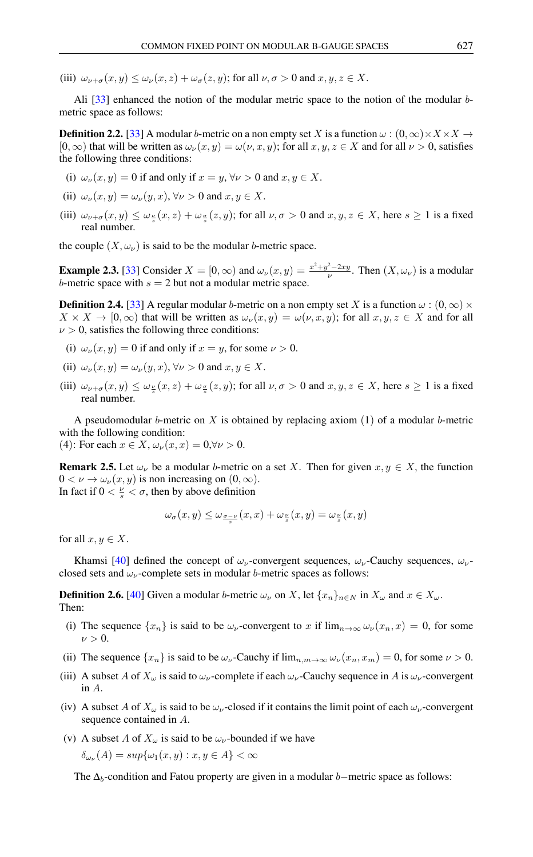(iii)  $\omega_{\nu+\sigma}(x, y) \leq \omega_{\nu}(x, z) + \omega_{\sigma}(z, y)$ ; for all  $\nu, \sigma > 0$  and  $x, y, z \in X$ .

Ali [\[33\]](#page-8-8) enhanced the notion of the modular metric space to the notion of the modular bmetric space as follows:

**Definition 2.2.** [\[33\]](#page-8-8) A modular b-metric on a non empty set X is a function  $\omega$  :  $(0, \infty) \times X \times X \rightarrow$  $[0, \infty)$  that will be written as  $\omega_{\nu}(x, y) = \omega(\nu, x, y)$ ; for all  $x, y, z \in X$  and for all  $\nu > 0$ , satisfies the following three conditions:

- (i)  $\omega_{\nu}(x, y) = 0$  if and only if  $x = y, \forall \nu > 0$  and  $x, y \in X$ .
- (ii)  $\omega_{\nu}(x, y) = \omega_{\nu}(y, x), \forall \nu > 0$  and  $x, y \in X$ .
- (iii)  $\omega_{\nu+\sigma}(x,y) \leq \omega_{\frac{\nu}{s}}(x,z) + \omega_{\frac{\sigma}{s}}(z,y)$ ; for all  $\nu,\sigma > 0$  and  $x,y,z \in X$ , here  $s \geq 1$  is a fixed real number.

the couple  $(X, \omega_{\nu})$  is said to be the modular *b*-metric space.

**Example 2.3.** [\[33\]](#page-8-8) Consider  $X = [0, \infty)$  and  $\omega_{\nu}(x, y) = \frac{x^2 + y^2 - 2xy}{\nu}$ . Then  $(X, \omega_{\nu})$  is a modular b-metric space with  $s = 2$  but not a modular metric space.

**Definition 2.4.** [\[33\]](#page-8-8) A regular modular b-metric on a non empty set X is a function  $\omega$  :  $(0, \infty) \times$  $X \times X \to [0,\infty)$  that will be written as  $\omega_{\nu}(x,y) = \omega(\nu, x, y)$ ; for all  $x, y, z \in X$  and for all  $\nu > 0$ , satisfies the following three conditions:

- (i)  $\omega_{\nu}(x, y) = 0$  if and only if  $x = y$ , for some  $\nu > 0$ .
- (ii)  $\omega_{\nu}(x, y) = \omega_{\nu}(y, x), \forall \nu > 0$  and  $x, y \in X$ .
- (iii)  $\omega_{\nu+\sigma}(x,y) \leq \omega_{\frac{\nu}{s}}(x,z) + \omega_{\frac{\sigma}{s}}(z,y)$ ; for all  $\nu,\sigma > 0$  and  $x,y,z \in X$ , here  $s \geq 1$  is a fixed real number.

A pseudomodular b-metric on X is obtained by replacing axiom  $(1)$  of a modular b-metric with the following condition:

(4): For each  $x \in X$ ,  $\omega_{\nu}(x, x) = 0$ ,  $\forall \nu > 0$ .

**Remark 2.5.** Let  $\omega_{\nu}$  be a modular b-metric on a set X. Then for given  $x, y \in X$ , the function  $0 < \nu \rightarrow \omega_{\nu}(x, y)$  is non increasing on  $(0, \infty)$ . In fact if  $0 < \frac{\nu}{s} < \sigma$ , then by above definition

$$
\omega_{\sigma}(x,y) \le \omega_{\frac{\sigma-\nu}{s}}(x,x) + \omega_{\frac{\nu}{s}}(x,y) = \omega_{\frac{\nu}{s}}(x,y)
$$

for all  $x, y \in X$ .

Khamsi [\[40\]](#page-8-14) defined the concept of  $\omega_{\nu}$ -convergent sequences,  $\omega_{\nu}$ -Cauchy sequences,  $\omega_{\nu}$ closed sets and  $\omega_{\nu}$ -complete sets in modular *b*-metric spaces as follows:

**Definition 2.6.** [\[40\]](#page-8-14) Given a modular b-metric  $\omega_{\nu}$  on X, let  $\{x_n\}_{n\in\mathbb{N}}$  in  $X_{\omega}$  and  $x \in X_{\omega}$ . Then:

- (i) The sequence  $\{x_n\}$  is said to be  $\omega_{\nu}$ -convergent to x if  $\lim_{n\to\infty}\omega_{\nu}(x_n,x) = 0$ , for some  $\nu > 0$ .
- (ii) The sequence  $\{x_n\}$  is said to be  $\omega_{\nu}$ -Cauchy if  $\lim_{n,m\to\infty} \omega_{\nu}(x_n, x_m) = 0$ , for some  $\nu > 0$ .
- (iii) A subset A of  $X_\omega$  is said to  $\omega_\nu$ -complete if each  $\omega_\nu$ -Cauchy sequence in A is  $\omega_\nu$ -convergent in A.
- (iv) A subset A of  $X_\omega$  is said to be  $\omega_\nu$ -closed if it contains the limit point of each  $\omega_\nu$ -convergent sequence contained in A.
- (v) A subset A of  $X_\omega$  is said to be  $\omega_\nu$ -bounded if we have

$$
\delta_{\omega_{\nu}}(A) = \sup \{ \omega_1(x, y) : x, y \in A \} < \infty
$$

The  $\Delta_b$ -condition and Fatou property are given in a modular b−metric space as follows: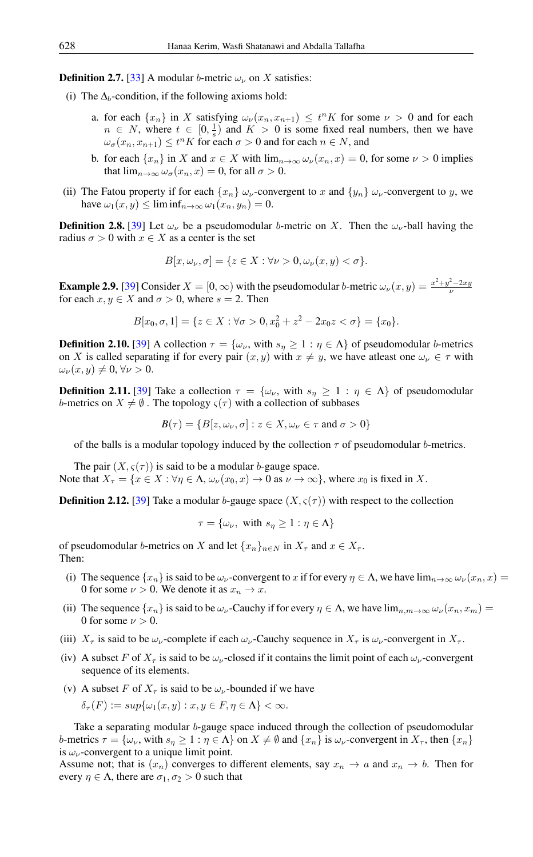**Definition 2.7.** [\[33\]](#page-8-8) A modular b-metric  $\omega_{\nu}$  on X satisfies:

- (i) The  $\Delta_b$ -condition, if the following axioms hold:
	- a. for each  $\{x_n\}$  in X satisfying  $\omega_{\nu}(x_n, x_{n+1}) \leq t^n K$  for some  $\nu > 0$  and for each  $n \in N$ , where  $t \in [0, \frac{1}{s})$  and  $K > 0$  is some fixed real numbers, then we have  $\omega_{\sigma}(x_n, x_{n+1}) \le t^n K$  for each  $\sigma > 0$  and for each  $n \in N$ , and
	- b. for each  $\{x_n\}$  in X and  $x \in X$  with  $\lim_{n\to\infty} \omega_{\nu}(x_n, x) = 0$ , for some  $\nu > 0$  implies that  $\lim_{n\to\infty} \omega_{\sigma}(x_n, x) = 0$ , for all  $\sigma > 0$ .
- (ii) The Fatou property if for each  $\{x_n\}$   $\omega_{\nu}$ -convergent to x and  $\{y_n\}$   $\omega_{\nu}$ -convergent to y, we have  $\omega_1(x, y) \leq \liminf_{n \to \infty} \omega_1(x_n, y_n) = 0.$

**Definition 2.8.** [\[39\]](#page-8-13) Let  $\omega_{\nu}$  be a pseudomodular b-metric on X. Then the  $\omega_{\nu}$ -ball having the radius  $\sigma > 0$  with  $x \in X$  as a center is the set

$$
B[x,\omega_{\nu},\sigma] = \{z \in X : \forall \nu > 0, \omega_{\nu}(x,y) < \sigma\}.
$$

**Example 2.9.** [\[39\]](#page-8-13) Consider  $X = [0, \infty)$  with the pseudomodular b-metric  $\omega_{\nu}(x, y) = \frac{x^2 + y^2 - 2xy}{\nu}$ for each  $x, y \in X$  and  $\sigma > 0$ , where  $s = 2$ . Then

$$
B[x_0, \sigma, 1] = \{ z \in X : \forall \sigma > 0, x_0^2 + z^2 - 2x_0 z < \sigma \} = \{ x_0 \}.
$$

**Definition 2.10.** [\[39\]](#page-8-13) A collection  $\tau = {\omega_{\nu}}$ , with  $s_n \geq 1 : \eta \in \Lambda$  of pseudomodular b-metrics on X is called separating if for every pair  $(x, y)$  with  $x \neq y$ , we have atleast one  $\omega_{\nu} \in \tau$  with  $\omega_{\nu}(x, y) \neq 0, \forall \nu > 0.$ 

**Definition 2.11.** [\[39\]](#page-8-13) Take a collection  $\tau = {\omega_{\nu}}$ , with  $s_{\eta} \geq 1 : \eta \in \Lambda$  of pseudomodular b-metrics on  $X \neq \emptyset$ . The topology  $\varsigma(\tau)$  with a collection of subbases

 $B(\tau) = \{B[z, \omega_\nu, \sigma] : z \in X, \omega_\nu \in \tau \text{ and } \sigma > 0\}$ 

of the balls is a modular topology induced by the collection  $\tau$  of pseudomodular b-metrics.

The pair  $(X, \varsigma(\tau))$  is said to be a modular *b*-gauge space. Note that  $X_{\tau} = \{x \in X : \forall \eta \in \Lambda, \omega_{\nu}(x_0, x) \to 0 \text{ as } \nu \to \infty\}$ , where  $x_0$  is fixed in X.

**Definition 2.12.** [\[39\]](#page-8-13) Take a modular b-gauge space  $(X, \varsigma(\tau))$  with respect to the collection

$$
\tau = \{\omega_{\nu}, \text{ with } s_{\eta} \ge 1 : \eta \in \Lambda\}
$$

of pseudomodular b-metrics on X and let  $\{x_n\}_{n\in\mathbb{N}}$  in  $X_\tau$  and  $x\in X_\tau$ . Then:

- (i) The sequence  $\{x_n\}$  is said to be  $\omega_{\nu}$ -convergent to x if for every  $\eta \in \Lambda$ , we have  $\lim_{n\to\infty} \omega_{\nu}(x_n, x)$ 0 for some  $\nu > 0$ . We denote it as  $x_n \to x$ .
- (ii) The sequence  $\{x_n\}$  is said to be  $\omega_{\nu}$ -Cauchy if for every  $\eta \in \Lambda$ , we have  $\lim_{n,m\to\infty} \omega_{\nu}(x_n, x_m)$  = 0 for some  $\nu > 0$ .
- (iii)  $X_{\tau}$  is said to be  $\omega_{\nu}$ -complete if each  $\omega_{\nu}$ -Cauchy sequence in  $X_{\tau}$  is  $\omega_{\nu}$ -convergent in  $X_{\tau}$ .
- (iv) A subset F of  $X_\tau$  is said to be  $\omega_\nu$ -closed if it contains the limit point of each  $\omega_\nu$ -convergent sequence of its elements.
- (v) A subset F of  $X_\tau$  is said to be  $\omega_\nu$ -bounded if we have

$$
\delta_{\tau}(F) := \sup \{ \omega_1(x, y) : x, y \in F, \eta \in \Lambda \} < \infty.
$$

Take a separating modular b-gauge space induced through the collection of pseudomodular b-metrics  $\tau = {\omega_{\nu}}$ , with  $s_{\eta} \geq 1 : \eta \in \Lambda$  on  $X \neq \emptyset$  and  $\{x_{n}\}\$ is  $\omega_{\nu}$ -convergent in  $X_{\tau}$ , then  $\{x_{n}\}\$ is  $\omega_{\nu}$ -convergent to a unique limit point.

Assume not; that is  $(x_n)$  converges to different elements, say  $x_n \to a$  and  $x_n \to b$ . Then for every  $\eta \in \Lambda$ , there are  $\sigma_1, \sigma_2 > 0$  such that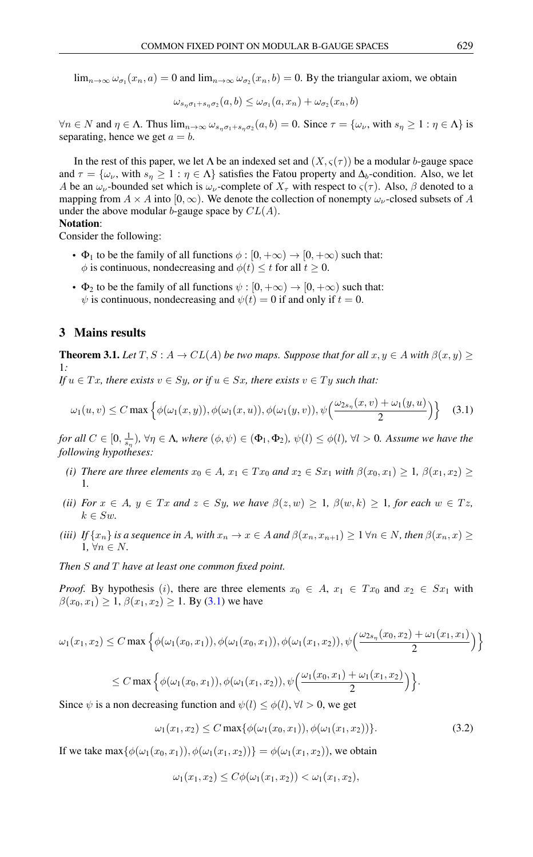$\lim_{n\to\infty} \omega_{\sigma_1}(x_n, a) = 0$  and  $\lim_{n\to\infty} \omega_{\sigma_2}(x_n, b) = 0$ . By the triangular axiom, we obtain

$$
\omega_{s_{\eta}\sigma_1+s_{\eta}\sigma_2}(a,b) \leq \omega_{\sigma_1}(a,x_n) + \omega_{\sigma_2}(x_n,b)
$$

 $\forall n \in \mathbb{N}$  and  $\eta \in \Lambda$ . Thus  $\lim_{n \to \infty} \omega_{s_{\eta} \sigma_1 + s_{\eta} \sigma_2}(a, b) = 0$ . Since  $\tau = {\omega_{\nu}}$ , with  $s_{\eta} \ge 1 : \eta \in \Lambda}$  is separating, hence we get  $a = b$ .

In the rest of this paper, we let  $\Lambda$  be an indexed set and  $(X, \varsigma(\tau))$  be a modular b-gauge space and  $\tau = {\omega_{\nu}}$ , with  $s_{\eta} \geq 1 : \eta \in \Lambda$  satisfies the Fatou property and  $\Delta_b$ -condition. Also, we let A be an  $\omega_{\nu}$ -bounded set which is  $\omega_{\nu}$ -complete of  $X_{\tau}$  with respect to  $\zeta(\tau)$ . Also,  $\beta$  denoted to a mapping from  $A \times A$  into  $[0, \infty)$ . We denote the collection of nonempty  $\omega_{\nu}$ -closed subsets of A under the above modular b-gauge space by  $CL(A)$ .

#### Notation:

Consider the following:

- $\Phi_1$  to be the family of all functions  $\phi : [0, +\infty) \to [0, +\infty)$  such that:  $\phi$  is continuous, nondecreasing and  $\phi(t) \leq t$  for all  $t \geq 0$ .
- $\Phi_2$  to be the family of all functions  $\psi : [0, +\infty) \to [0, +\infty)$  such that:  $\psi$  is continuous, nondecreasing and  $\psi(t) = 0$  if and only if  $t = 0$ .

## 3 Mains results

**Theorem 3.1.** *Let*  $T, S: A \rightarrow CL(A)$  *be two maps. Suppose that for all*  $x, y \in A$  *with*  $\beta(x, y) \ge$ 1*:*

*If*  $u \in Tx$ *, there exists*  $v \in Sy$ *, or if*  $u \in Sx$ *, there exists*  $v \in Ty$  *such that:* 

<span id="page-3-0"></span>
$$
\omega_1(u,v) \le C \max \left\{ \phi(\omega_1(x,y)), \phi(\omega_1(x,u)), \phi(\omega_1(y,v)), \psi\left(\frac{\omega_{2s_\eta}(x,v) + \omega_1(y,u)}{2}\right) \right\}
$$
 (3.1)

*for all*  $C \in [0, \frac{1}{s_0})$ ,  $\forall \eta \in \Lambda$ , where  $(\phi, \psi) \in (\Phi_1, \Phi_2)$ ,  $\psi(l) \leq \phi(l)$ ,  $\forall l > 0$ . Assume we have the *following hypotheses:*

- *(i) There are three elements*  $x_0 \in A$ *,*  $x_1 \in Tx_0$  *and*  $x_2 \in Sx_1$  *with*  $\beta(x_0, x_1) \geq 1$ ,  $\beta(x_1, x_2) \geq 1$ 1*.*
- *(ii) For*  $x \in A$ ,  $y \in Tx$  *and*  $z \in Sy$ , we have  $\beta(z, w) \geq 1$ ,  $\beta(w, k) \geq 1$ , for each  $w \in Tx$ ,  $k \in Sw$ .
- *(iii) If*  $\{x_n\}$  *is a sequence in* A*, with*  $x_n \to x \in A$  *and*  $\beta(x_n, x_{n+1}) \geq 1 \forall n \in \mathbb{N}$ *, then*  $\beta(x_n, x) \geq 0$ 1,  $\forall n \in N$ .

*Then* S *and* T *have at least one common fixed point.*

*Proof.* By hypothesis (i), there are three elements  $x_0 \in A$ ,  $x_1 \in Tx_0$  and  $x_2 \in Sx_1$  with  $\beta(x_0, x_1) \geq 1$ ,  $\beta(x_1, x_2) \geq 1$ . By [\(3.1\)](#page-3-0) we have

$$
\omega_1(x_1, x_2) \le C \max \Big\{ \phi(\omega_1(x_0, x_1)), \phi(\omega_1(x_0, x_1)), \phi(\omega_1(x_1, x_2)), \psi\Big(\frac{\omega_{2s_n}(x_0, x_2) + \omega_1(x_1, x_1)}{2}\Big) \Big\}
$$

$$
\leq C \max \Big\{ \phi(\omega_1(x_0,x_1)), \phi(\omega_1(x_1,x_2)), \psi\Big(\frac{\omega_1(x_0,x_1)+\omega_1(x_1,x_2)}{2}\Big) \Big\}.
$$

Since  $\psi$  is a non decreasing function and  $\psi(l) \leq \phi(l)$ ,  $\forall l > 0$ , we get

$$
\omega_1(x_1, x_2) \le C \max\{\phi(\omega_1(x_0, x_1)), \phi(\omega_1(x_1, x_2))\}.
$$
 (3.2)

If we take max $\{\phi(\omega_1(x_0,x_1)), \phi(\omega_1(x_1,x_2))\} = \phi(\omega_1(x_1,x_2))$ , we obtain

<span id="page-3-1"></span>
$$
\omega_1(x_1,x_2)\leq C\phi(\omega_1(x_1,x_2))<\omega_1(x_1,x_2),
$$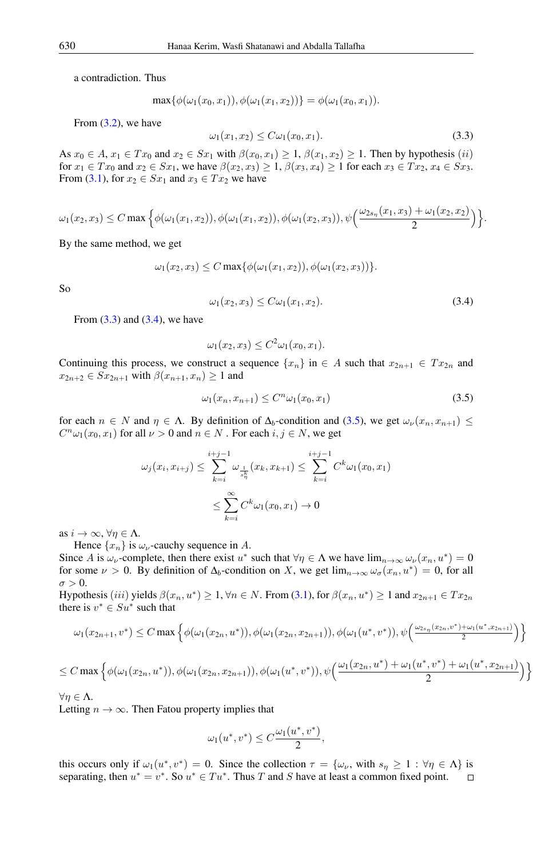a contradiction. Thus

<span id="page-4-0"></span>
$$
\max{\phi(\omega_1(x_0,x_1)),\phi(\omega_1(x_1,x_2))\}=\phi(\omega_1(x_0,x_1)).
$$

From  $(3.2)$ , we have

$$
\omega_1(x_1, x_2) \le C \omega_1(x_0, x_1). \tag{3.3}
$$

As  $x_0 \in A$ ,  $x_1 \in Tx_0$  and  $x_2 \in Sx_1$  with  $\beta(x_0, x_1) \geq 1$ ,  $\beta(x_1, x_2) \geq 1$ . Then by hypothesis  $(ii)$ for  $x_1 \in Tx_0$  and  $x_2 \in Sx_1$ , we have  $\beta(x_2, x_3) \geq 1$ ,  $\beta(x_3, x_4) \geq 1$  for each  $x_3 \in Tx_2$ ,  $x_4 \in Sx_3$ . From [\(3.1\)](#page-3-0), for  $x_2 \in Sx_1$  and  $x_3 \in Tx_2$  we have

$$
\omega_1(x_2, x_3) \le C \max \Big\{ \phi(\omega_1(x_1, x_2)), \phi(\omega_1(x_1, x_2)), \phi(\omega_1(x_2, x_3)), \psi\Big(\frac{\omega_{2s_n}(x_1, x_3) + \omega_1(x_2, x_2)}{2}\Big) \Big\}.
$$

By the same method, we get

$$
\omega_1(x_2, x_3) \le C \max \{ \phi(\omega_1(x_1, x_2)), \phi(\omega_1(x_2, x_3)) \}.
$$

<span id="page-4-1"></span>So

$$
\omega_1(x_2, x_3) \le C \omega_1(x_1, x_2). \tag{3.4}
$$

From  $(3.3)$  and  $(3.4)$ , we have

<span id="page-4-2"></span>
$$
\omega_1(x_2, x_3) \le C^2 \omega_1(x_0, x_1).
$$

Continuing this process, we construct a sequence  $\{x_n\}$  in  $\in A$  such that  $x_{2n+1} \in Tx_{2n}$  and  $x_{2n+2} \in Sx_{2n+1}$  with  $\beta(x_{n+1}, x_n) \geq 1$  and

$$
\omega_1(x_n, x_{n+1}) \le C^n \omega_1(x_0, x_1) \tag{3.5}
$$

for each  $n \in N$  and  $\eta \in \Lambda$ . By definition of  $\Delta_b$ -condition and [\(3.5\)](#page-4-2), we get  $\omega_{\nu}(x_n, x_{n+1}) \leq$  $C^n\omega_1(x_0, x_1)$  for all  $\nu > 0$  and  $n \in N$  . For each  $i, j \in N$ , we get

$$
\omega_j(x_i, x_{i+j}) \le \sum_{k=i}^{i+j-1} \omega_{\frac{1}{s_n^k}}(x_k, x_{k+1}) \le \sum_{k=i}^{i+j-1} C^k \omega_1(x_0, x_1)
$$
  

$$
\le \sum_{k=i}^{\infty} C^k \omega_1(x_0, x_1) \to 0
$$

as  $i \to \infty$ ,  $\forall \eta \in \Lambda$ .

Hence  $\{x_n\}$  is  $\omega_{\nu}$ -cauchy sequence in A.

Since A is  $\omega_{\nu}$ -complete, then there exist  $u^*$  such that  $\forall \eta \in \Lambda$  we have  $\lim_{n\to\infty} \omega_{\nu}(x_n, u^*) = 0$ for some  $\nu > 0$ . By definition of  $\Delta_b$ -condition on X, we get  $\lim_{n\to\infty} \omega_\sigma(x_n, u^*) = 0$ , for all  $\sigma > 0$ .

Hypothesis (iii) yields  $\beta(x_n, u^*) \ge 1$ ,  $\forall n \in N$ . From [\(3.1\)](#page-3-0), for  $\beta(x_n, u^*) \ge 1$  and  $x_{2n+1} \in Tx_{2n}$ there is  $v^* \in S u^*$  such that

$$
\omega_1(x_{2n+1}, v^*) \le C \max \left\{ \phi(\omega_1(x_{2n}, u^*)), \phi(\omega_1(x_{2n}, x_{2n+1})), \phi(\omega_1(u^*, v^*)), \psi\left(\frac{\omega_{2s_n}(x_{2n}, v^*) + \omega_1(u^*, x_{2n+1})}{2}\right) \right\}
$$

$$
\leq C \max \Big\{ \phi(\omega_1(x_{2n}, u^*)), \phi(\omega_1(x_{2n}, x_{2n+1})), \phi(\omega_1(u^*, v^*)), \psi\Big(\frac{\omega_1(x_{2n}, u^*) + \omega_1(u^*, v^*) + \omega_1(u^*, x_{2n+1})}{2}\Big) \Big\}
$$

 $\forall \eta \in \Lambda$ .

Letting  $n \to \infty$ . Then Fatou property implies that

$$
\omega_1(u^*, v^*) \le C \frac{\omega_1(u^*, v^*)}{2},
$$

this occurs only if  $\omega_1(u^*, v^*) = 0$ . Since the collection  $\tau = {\omega_\nu}$ , with  $s_\eta \geq 1 : \forall \eta \in \Lambda$  is separating, then  $u^* = v^*$ . So  $u^* \in Tu^*$ . Thus T and S have at least a common fixed point.  $\Box$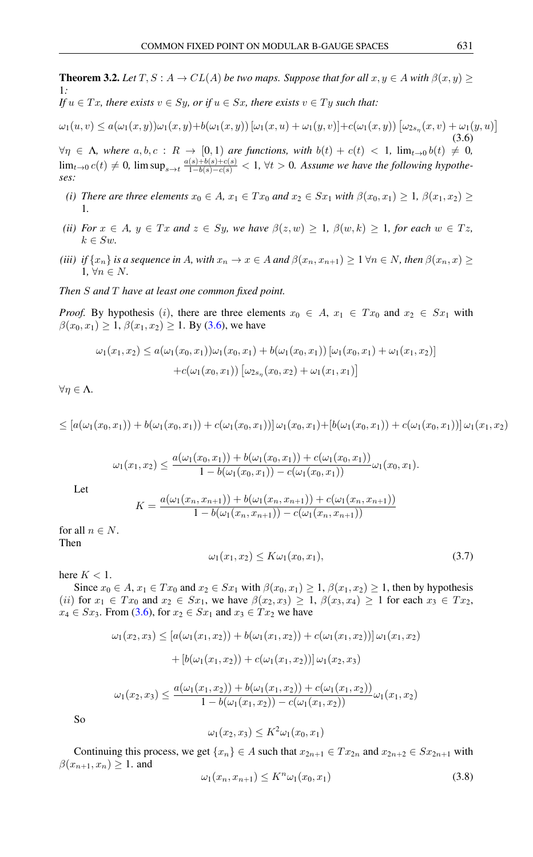<span id="page-5-2"></span><span id="page-5-0"></span>**Theorem 3.2.** *Let*  $T, S : A \to CL(A)$  *be two maps. Suppose that for all*  $x, y \in A$  *with*  $\beta(x, y) \geq$ 1*: If*  $u \in Tx$ *, there exists*  $v \in Sy$ *, or if*  $u \in Sx$ *, there exists*  $v \in Ty$  *such that:* 

 $\omega_1(u, v) \le a(\omega_1(x, y))\omega_1(x, y) + b(\omega_1(x, y)) [\omega_1(x, u) + \omega_1(y, v)] + c(\omega_1(x, y)) [\omega_{2s_{\eta}}(x, v) + \omega_1(y, u)]$ (3.6)

 $\forall \eta \in \Lambda$ , where  $a, b, c \,:\, R \, \rightarrow \, [0, 1)$  are functions, with  $b(t) + c(t) \, < \, 1$ ,  $\lim_{t \to 0} b(t) \, \neq \, 0$ ,  $\lim_{t\to 0} c(t) \neq 0$ ,  $\limsup_{s\to t} \frac{a(s)+b(s)+c(s)}{1-b(s)-c(s)} < 1$ ,  $\forall t > 0$ . Assume we have the following hypothe*ses:*

- *(i) There are three elements*  $x_0 \in A$ ,  $x_1 \in Tx_0$  *and*  $x_2 \in Sx_1$  *with*  $\beta(x_0, x_1) \geq 1$ ,  $\beta(x_1, x_2) \geq 1$ 1*.*
- *(ii) For*  $x \in A$ ,  $y \in Tx$  *and*  $z \in Sy$ , we have  $\beta(z, w) \geq 1$ ,  $\beta(w, k) \geq 1$ , for each  $w \in Tx$ ,  $k \in Sw$ .
- *(iii) if*  $\{x_n\}$  *is a sequence in* A*, with*  $x_n \to x \in A$  *and*  $\beta(x_n, x_{n+1}) \geq 1 \forall n \in \mathbb{N}$ *, then*  $\beta(x_n, x) \geq 0$ 1*,*  $\forall n \in N$ .

*Then* S *and* T *have at least one common fixed point.*

*Proof.* By hypothesis (i), there are three elements  $x_0 \in A$ ,  $x_1 \in Tx_0$  and  $x_2 \in Sx_1$  with  $\beta(x_0, x_1) \geq 1$ ,  $\beta(x_1, x_2) \geq 1$ . By [\(3.6\)](#page-5-0), we have

$$
\omega_1(x_1, x_2) \le a(\omega_1(x_0, x_1))\omega_1(x_0, x_1) + b(\omega_1(x_0, x_1)) [\omega_1(x_0, x_1) + \omega_1(x_1, x_2)]
$$

$$
+ c(\omega_1(x_0, x_1)) [\omega_{2s_\eta}(x_0, x_2) + \omega_1(x_1, x_1)]
$$

 $\forall \eta \in \Lambda$ .

$$
\leq [a(\omega_1(x_0,x_1)) + b(\omega_1(x_0,x_1)) + c(\omega_1(x_0,x_1))] \omega_1(x_0,x_1) + [b(\omega_1(x_0,x_1)) + c(\omega_1(x_0,x_1))] \omega_1(x_1,x_2)
$$

$$
\omega_1(x_1,x_2) \leq \frac{a(\omega_1(x_0,x_1)) + b(\omega_1(x_0,x_1)) + c(\omega_1(x_0,x_1))}{1 - b(\omega_1(x_0,x_1)) - c(\omega_1(x_0,x_1))} \omega_1(x_0,x_1).
$$

Let

$$
K = \frac{a(\omega_1(x_n, x_{n+1})) + b(\omega_1(x_n, x_{n+1})) + c(\omega_1(x_n, x_{n+1}))}{1 - b(\omega_1(x_n, x_{n+1})) - c(\omega_1(x_n, x_{n+1}))}
$$

for all  $n \in N$ . Then

$$
\omega_1(x_1, x_2) \le K \omega_1(x_0, x_1),\tag{3.7}
$$

here  $K < 1$ .

Since  $x_0 \in A$ ,  $x_1 \in Tx_0$  and  $x_2 \in Sx_1$  with  $\beta(x_0, x_1) \geq 1$ ,  $\beta(x_1, x_2) \geq 1$ , then by hypothesis (ii) for  $x_1 \in Tx_0$  and  $x_2 \in Sx_1$ , we have  $\beta(x_2, x_3) \geq 1$ ,  $\beta(x_3, x_4) \geq 1$  for each  $x_3 \in Tx_2$ ,  $x_4 \in Sx_3$ . From [\(3.6\)](#page-5-0), for  $x_2 \in Sx_1$  and  $x_3 \in Tx_2$  we have

$$
\omega_1(x_2, x_3) \leq [a(\omega_1(x_1, x_2)) + b(\omega_1(x_1, x_2)) + c(\omega_1(x_1, x_2))] \omega_1(x_1, x_2)
$$

$$
+ [b(\omega_1(x_1, x_2)) + c(\omega_1(x_1, x_2))] \omega_1(x_2, x_3)
$$

$$
\omega_1(x_2,x_3) \le \frac{a(\omega_1(x_1,x_2)) + b(\omega_1(x_1,x_2)) + c(\omega_1(x_1,x_2))}{1 - b(\omega_1(x_1,x_2)) - c(\omega_1(x_1,x_2))} \omega_1(x_1,x_2)
$$

So

$$
\omega_1(x_2, x_3) \le K^2 \omega_1(x_0, x_1)
$$

Continuing this process, we get  $\{x_n\} \in A$  such that  $x_{2n+1} \in Tx_{2n}$  and  $x_{2n+2} \in Sx_{2n+1}$  with  $\beta(x_{n+1}, x_n) \geq 1$ . and

<span id="page-5-1"></span>
$$
\omega_1(x_n, x_{n+1}) \le K^n \omega_1(x_0, x_1) \tag{3.8}
$$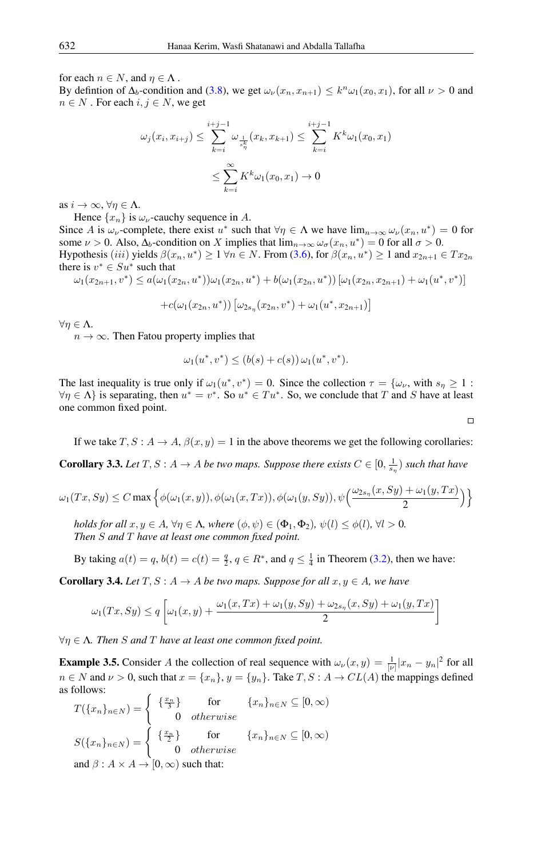for each  $n \in N$ , and  $\eta \in \Lambda$ .

By defintion of  $\Delta_b$ -condition and [\(3.8\)](#page-5-1), we get  $\omega_\nu(x_n, x_{n+1}) \leq k^n \omega_1(x_0, x_1)$ , for all  $\nu > 0$  and  $n \in N$ . For each  $i, j \in N$ , we get

$$
\omega_j(x_i, x_{i+j}) \le \sum_{k=i}^{i+j-1} \omega_{\frac{1}{s_n^k}}(x_k, x_{k+1}) \le \sum_{k=i}^{i+j-1} K^k \omega_1(x_0, x_1)
$$
  

$$
\le \sum_{k=i}^{\infty} K^k \omega_1(x_0, x_1) \to 0
$$

as  $i \to \infty$ ,  $\forall n \in \Lambda$ .

Hence  $\{x_n\}$  is  $\omega_{\nu}$ -cauchy sequence in A.

Since A is  $\omega_{\nu}$ -complete, there exist  $u^*$  such that  $\forall \eta \in \Lambda$  we have  $\lim_{n\to\infty} \omega_{\nu}(x_n, u^*) = 0$  for some  $\nu > 0$ . Also,  $\Delta_b$ -condition on X implies that  $\lim_{n\to\infty} \omega_\sigma(x_n, u^*) = 0$  for all  $\sigma > 0$ . Hypothesis (iii) yields  $\beta(x_n, u^*) \ge 1 \forall n \in N$ . From [\(3.6\)](#page-5-0), for  $\beta(x_n, u^*) \ge 1$  and  $x_{2n+1} \in Tx_{2n}$ there is  $v^* \in S u^*$  such that

 $\omega_1(x_{2n+1}, v^*) \leq a(\omega_1(x_{2n}, u^*))\omega_1(x_{2n}, u^*) + b(\omega_1(x_{2n}, u^*))\left[\omega_1(x_{2n}, x_{2n+1}) + \omega_1(u^*, v^*)\right]$ 

+c( $\omega_1(x_{2n},u^*)$ )  $[\omega_{2s_n}(x_{2n},v^*) + \omega_1(u^*,x_{2n+1})]$ 

 $\forall \eta \in \Lambda$ .

 $n \to \infty$ . Then Fatou property implies that

$$
\omega_1(u^*, v^*) \le (b(s) + c(s)) \omega_1(u^*, v^*).
$$

The last inequality is true only if  $\omega_1(u^*, v^*) = 0$ . Since the collection  $\tau = {\omega_\nu}$ , with  $s_\eta \geq 1$ :  $\forall \eta \in \Lambda$  is separating, then  $u^* = v^*$ . So  $u^* \in Tu^*$ . So, we conclude that T and S have at least one common fixed point.

If we take  $T, S : A \to A$ ,  $\beta(x, y) = 1$  in the above theorems we get the following corollaries:

**Corollary 3.3.** Let  $T, S: A \to A$  be two maps. Suppose there exists  $C \in [0, \frac{1}{s_n})$  such that have

$$
\omega_1(Tx, Sy) \le C \max \left\{ \phi(\omega_1(x, y)), \phi(\omega_1(x, Tx)), \phi(\omega_1(y, Sy)), \psi\left(\frac{\omega_{2s_n}(x, Sy) + \omega_1(y, Tx)}{2}\right) \right\}
$$

*holds for all*  $x, y \in A$ ,  $\forall \eta \in \Lambda$ , where  $(\phi, \psi) \in (\Phi_1, \Phi_2)$ ,  $\psi(l) \leq \phi(l)$ ,  $\forall l > 0$ . *Then* S *and* T *have at least one common fixed point.*

By taking  $a(t) = q$ ,  $b(t) = c(t) = \frac{q}{2}$ ,  $q \in \mathbb{R}^*$ , and  $q \leq \frac{1}{4}$  in Theorem [\(3.2\)](#page-5-2), then we have:

**Corollary 3.4.** *Let*  $T, S: A \rightarrow A$  *be two maps. Suppose for all*  $x, y \in A$ *, we have* 

$$
\omega_1(Tx, Sy) \le q \left[ \omega_1(x, y) + \frac{\omega_1(x, Tx) + \omega_1(y, Sy) + \omega_{2s_n}(x, Sy) + \omega_1(y, Tx)}{2} \right]
$$

∀η ∈ Λ*. Then* S *and* T *have at least one common fixed point.*

**Example 3.5.** Consider A the collection of real sequence with  $\omega_{\nu}(x, y) = \frac{1}{|\nu|} |x_n - y_n|^2$  for all  $n \in N$  and  $\nu > 0$ , such that  $x = \{x_n\}$ ,  $y = \{y_n\}$ . Take  $T, S : A \to CL(A)$  the mappings defined as follows:

$$
T(\{x_n\}_{n\in N}) = \begin{cases} \{\frac{x_n}{3}\} & \text{for } \{x_n\}_{n\in N} \subseteq [0, \infty) \\ 0 & otherwise \end{cases}
$$

$$
S(\{x_n\}_{n\in N}) = \begin{cases} \{\frac{x_n}{2}\} & \text{for } \{x_n\}_{n\in N} \subseteq [0, \infty) \\ 0 & otherwise \end{cases}
$$
and  $\beta : A \times A \rightarrow [0, \infty)$  such that:

$$
\Box
$$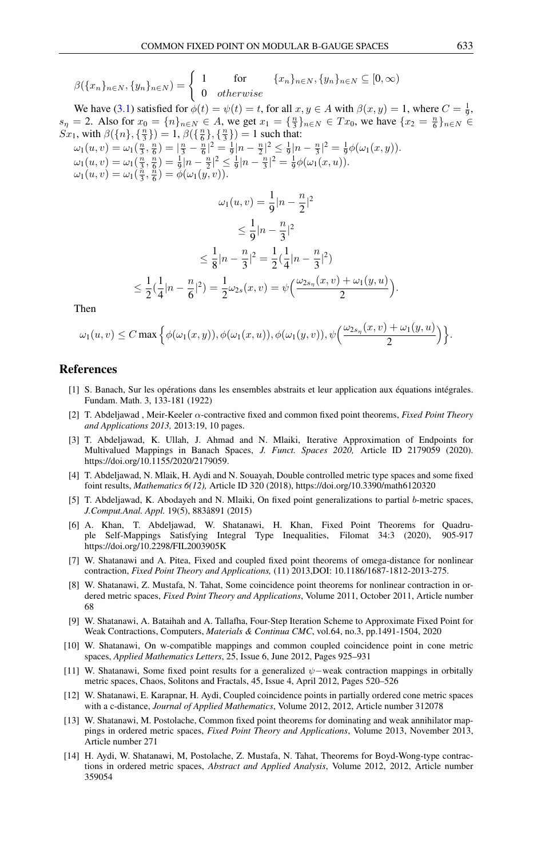$$
\beta(\{x_n\}_{n\in N}, \{y_n\}_{n\in N}) = \begin{cases} 1 & \text{for } \quad \{x_n\}_{n\in N}, \{y_n\}_{n\in N} \subseteq [0, \infty) \\ 0 & otherwise \end{cases}
$$

We have [\(3.1\)](#page-3-0) satisfied for  $\phi(t) = \psi(t) = t$ , for all  $x, y \in A$  with  $\beta(x, y) = 1$ , where  $C = \frac{1}{9}$ ,  $s_n = 2$ . Also for  $x_0 = \{n\}_{n \in \mathbb{N}} \in A$ , we get  $x_1 = \{\frac{n}{3}\}_{n \in \mathbb{N}} \in Tx_0$ , we have  $\{x_2 = \frac{n}{6}\}_{n \in \mathbb{N}} \in$ Sx<sub>1</sub>, with  $\beta({n}, {\frac{n}{3}}) = 1, \beta({\frac{n}{6}}, {\frac{n}{3}}) = 1$  such that:  $\omega_1(u, v) = \omega_1(\frac{n}{3}, \frac{n}{6}) = |\frac{n}{3} - \frac{n}{6}|^2 = \frac{1}{9}|n - \frac{n}{2}|^2 \le \frac{1}{9}|n - \frac{n}{3}|^2 = \frac{1}{9}\phi(\omega_1(x, y)).$  $\omega_1(u,v) = \omega_1(\frac{n}{3},\frac{n}{6}) = \frac{1}{9} |n-\frac{n}{2}|^2 \leq \frac{1}{9} |n-\frac{n}{3}|^2 = \frac{1}{9} \phi(\omega_1(x,u)).$  $\omega_1(u, v) = \omega_1(\frac{\tilde{n}}{3}, \frac{\tilde{n}}{6}) = \phi(\omega_1(y, v)).$ 

$$
\omega_1(u, v) = \frac{1}{9}|n - \frac{n}{2}|^2
$$
  
\n
$$
\leq \frac{1}{9}|n - \frac{n}{3}|^2
$$
  
\n
$$
\leq \frac{1}{8}|n - \frac{n}{3}|^2 = \frac{1}{2}(\frac{1}{4}|n - \frac{n}{3}|^2)
$$
  
\n
$$
\leq \frac{1}{2}(\frac{1}{4}|n - \frac{n}{6}|^2) = \frac{1}{2}\omega_{2s}(x, v) = \psi\left(\frac{\omega_{2s_n}(x, v) + \omega_1(y, u)}{2}\right).
$$

Then

$$
\omega_1(u,v) \leq C \max \Big\{ \phi(\omega_1(x,y)), \phi(\omega_1(x,u)), \phi(\omega_1(y,v)), \psi\Big(\frac{\omega_{2s_n}(x,v) + \omega_1(y,u)}{2}\Big) \Big\}.
$$

### <span id="page-7-0"></span>References

- <span id="page-7-1"></span>[1] S. Banach, Sur les opérations dans les ensembles abstraits et leur application aux équations intégrales. Fundam. Math. 3, 133-181 (1922)
- <span id="page-7-2"></span>[2] T. Abdeljawad , Meir-Keeler α-contractive fixed and common fixed point theorems, *Fixed Point Theory and Applications 2013,* 2013:19, 10 pages.
- [3] T. Abdeljawad, K. Ullah, J. Ahmad and N. Mlaiki, Iterative Approximation of Endpoints for Multivalued Mappings in Banach Spaces, *J. Funct. Spaces 2020,* Article ID 2179059 (2020). https://doi.org/10.1155/2020/2179059.
- [4] T. Abdeljawad, N. Mlaik, H. Aydi and N. Souayah, Double controlled metric type spaces and some fixed foint results, *Mathematics 6(12),* Article ID 320 (2018), https://doi.org/10.3390/math6120320
- [5] T. Abdeljawad, K. Abodayeh and N. Mlaiki, On fixed point generalizations to partial b-metric spaces, *J.Comput.Anal. Appl.* 19(5), 883â891 (2015)
- [6] A. Khan, T. Abdeljawad, W. Shatanawi, H. Khan, Fixed Point Theorems for Quadruple Self-Mappings Satisfying Integral Type Inequalities, Filomat 34:3 (2020), 905-917 https://doi.org/10.2298/FIL2003905K
- [7] W. Shatanawi and A. Pitea, Fixed and coupled fixed point theorems of omega-distance for nonlinear contraction, *Fixed Point Theory and Applications,* (11) 2013,DOI: 10.1186/1687-1812-2013-275.
- [8] W. Shatanawi, Z. Mustafa, N. Tahat, Some coincidence point theorems for nonlinear contraction in ordered metric spaces, *Fixed Point Theory and Applications*, Volume 2011, October 2011, Article number 68
- [9] W. Shatanawi, A. Bataihah and A. Tallafha, Four-Step Iteration Scheme to Approximate Fixed Point for Weak Contractions, Computers, *Materials & Continua CMC*, vol.64, no.3, pp.1491-1504, 2020
- [10] W. Shatanawi, On w-compatible mappings and common coupled coincidence point in cone metric spaces, *Applied Mathematics Letters*, 25, Issue 6, June 2012, Pages 925–931
- [11] W. Shatanawi, Some fixed point results for a generalized ψ−weak contraction mappings in orbitally metric spaces, Chaos, Solitons and Fractals, 45, Issue 4, April 2012, Pages 520–526
- [12] W. Shatanawi, E. Karapnar, H. Aydi, Coupled coincidence points in partially ordered cone metric spaces with a c-distance, *Journal of Applied Mathematics*, Volume 2012, 2012, Article number 312078
- [13] W. Shatanawi, M. Postolache, Common fixed point theorems for dominating and weak annihilator mappings in ordered metric spaces, *Fixed Point Theory and Applications*, Volume 2013, November 2013, Article number 271
- [14] H. Aydi, W. Shatanawi, M, Postolache, Z. Mustafa, N. Tahat, Theorems for Boyd-Wong-type contractions in ordered metric spaces, *Abstract and Applied Analysis*, Volume 2012, 2012, Article number 359054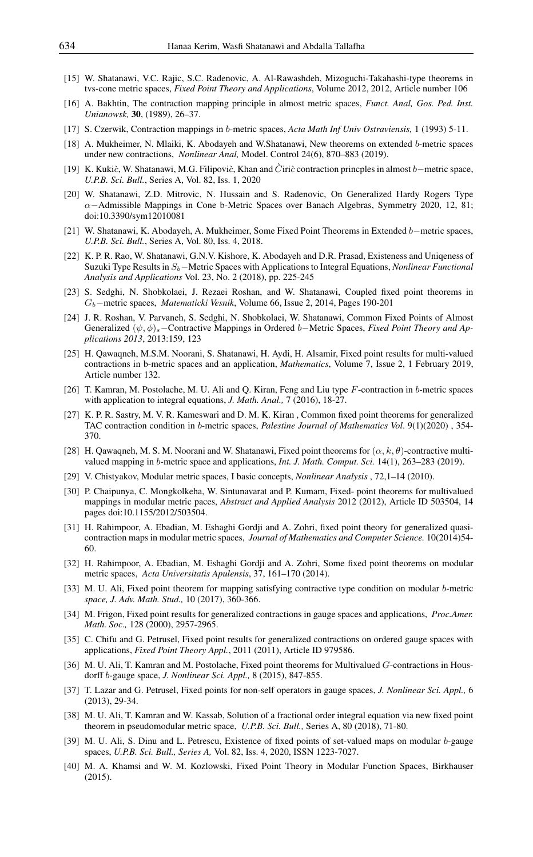- <span id="page-8-0"></span>[15] W. Shatanawi, V.C. Rajic, S.C. Radenovic, A. Al-Rawashdeh, Mizoguchi-Takahashi-type theorems in tvs-cone metric spaces, *Fixed Point Theory and Applications*, Volume 2012, 2012, Article number 106
- <span id="page-8-1"></span>[16] A. Bakhtin, The contraction mapping principle in almost metric spaces, *Funct. Anal, Gos. Ped. Inst. Unianowsk,* 30, (1989), 26–37.
- <span id="page-8-2"></span>[17] S. Czerwik, Contraction mappings in b-metric spaces, *Acta Math Inf Univ Ostraviensis,* 1 (1993) 5-11.
- <span id="page-8-3"></span>[18] A. Mukheimer, N. Mlaiki, K. Abodayeh and W.Shatanawi, New theorems on extended b-metric spaces under new contractions, *Nonlinear Anal,* Model. Control 24(6), 870–883 (2019).
- [19] K. Kukić, W. Shatanawi, M.G. Filipović, Khan and C`irić contraction princples in almost b–metric space, *U.P.B. Sci. Bull.*, Series A, Vol. 82, Iss. 1, 2020
- [20] W. Shatanawi, Z.D. Mitrovic, N. Hussain and S. Radenovic, On Generalized Hardy Rogers Type α−Admissible Mappings in Cone b-Metric Spaces over Banach Algebras, Symmetry 2020, 12, 81; doi:10.3390/sym12010081
- [21] W. Shatanawi, K. Abodayeh, A. Mukheimer, Some Fixed Point Theorems in Extended b−metric spaces, *U.P.B. Sci. Bull.*, Series A, Vol. 80, Iss. 4, 2018.
- [22] K. P. R. Rao, W. Shatanawi, G.N.V. Kishore, K. Abodayeh and D.R. Prasad, Existeness and Uniqeness of Suzuki Type Results in Sb−Metric Spaces with Applications to Integral Equations, *Nonlinear Functional Analysis and Applications* Vol. 23, No. 2 (2018), pp. 225-245
- [23] S. Sedghi, N. Shobkolaei, J. Rezaei Roshan, and W. Shatanawi, Coupled fixed point theorems in Gb−metric spaces, *Matematicki Vesnik*, Volume 66, Issue 2, 2014, Pages 190-201
- [24] J. R. Roshan, V. Parvaneh, S. Sedghi, N. Shobkolaei, W. Shatanawi, Common Fixed Points of Almost Generalized (ψ, φ)s−Contractive Mappings in Ordered b−Metric Spaces, *Fixed Point Theory and Applications 2013*, 2013:159, 123
- [25] H. Qawaqneh, M.S.M. Noorani, S. Shatanawi, H. Aydi, H. Alsamir, Fixed point results for multi-valued contractions in b-metric spaces and an application, *Mathematics*, Volume 7, Issue 2, 1 February 2019, Article number 132.
- [26] T. Kamran, M. Postolache, M. U. Ali and Q. Kiran, Feng and Liu type  $F$ -contraction in b-metric spaces with application to integral equations, *J. Math. Anal.,* 7 (2016), 18-27.
- [27] K. P. R. Sastry, M. V. R. Kameswari and D. M. K. Kiran , Common fixed point theorems for generalized TAC contraction condition in b-metric spaces, *Palestine Journal of Mathematics Vol*. 9(1)(2020) , 354- 370.
- <span id="page-8-4"></span>[28] H. Qawaqneh, M. S. M. Noorani and W. Shatanawi, Fixed point theorems for  $(\alpha, k, \theta)$ -contractive multivalued mapping in b-metric space and applications, *Int. J. Math. Comput. Sci.* 14(1), 263–283 (2019).
- <span id="page-8-5"></span>[29] V. Chistyakov, Modular metric spaces, I basic concepts, *Nonlinear Analysis* , 72,1–14 (2010).
- <span id="page-8-6"></span>[30] P. Chaipunya, C. Mongkolkeha, W. Sintunavarat and P. Kumam, Fixed- point theorems for multivalued mappings in modular metric paces, *Abstract and Applied Analysis* 2012 (2012), Article ID 503504, 14 pages doi:10.1155/2012/503504.
- [31] H. Rahimpoor, A. Ebadian, M. Eshaghi Gordji and A. Zohri, fixed point theory for generalized quasicontraction maps in modular metric spaces, *Journal of Mathematics and Computer Science.* 10(2014)54- 60.
- <span id="page-8-7"></span>[32] H. Rahimpoor, A. Ebadian, M. Eshaghi Gordji and A. Zohri, Some fixed point theorems on modular metric spaces, *Acta Universitatis Apulensis*, 37, 161–170 (2014).
- <span id="page-8-8"></span>[33] M. U. Ali, Fixed point theorem for mapping satisfying contractive type condition on modular b-metric *space, J. Adv. Math. Stud.,* 10 (2017), 360-366.
- <span id="page-8-9"></span>[34] M. Frigon, Fixed point results for generalized contractions in gauge spaces and applications, *Proc.Amer. Math. Soc.,* 128 (2000), 2957-2965.
- <span id="page-8-10"></span>[35] C. Chifu and G. Petrusel, Fixed point results for generalized contractions on ordered gauge spaces with applications, *Fixed Point Theory Appl.*, 2011 (2011), Article ID 979586.
- [36] M. U. Ali, T. Kamran and M. Postolache, Fixed point theorems for Multivalued G-contractions in Housdorff b-gauge space, *J. Nonlinear Sci. Appl.,* 8 (2015), 847-855.
- <span id="page-8-11"></span>[37] T. Lazar and G. Petrusel, Fixed points for non-self operators in gauge spaces, *J. Nonlinear Sci. Appl.,* 6 (2013), 29-34.
- <span id="page-8-12"></span>[38] M. U. Ali, T. Kamran and W. Kassab, Solution of a fractional order integral equation via new fixed point theorem in pseudomodular metric space, *U.P.B. Sci. Bull.,* Series A, 80 (2018), 71-80.
- <span id="page-8-13"></span>[39] M. U. Ali, S. Dinu and L. Petrescu, Existence of fixed points of set-valued maps on modular b-gauge spaces, *U.P.B. Sci. Bull., Series A,* Vol. 82, Iss. 4, 2020, ISSN 1223-7027.
- <span id="page-8-14"></span>[40] M. A. Khamsi and W. M. Kozlowski, Fixed Point Theory in Modular Function Spaces, Birkhauser (2015).